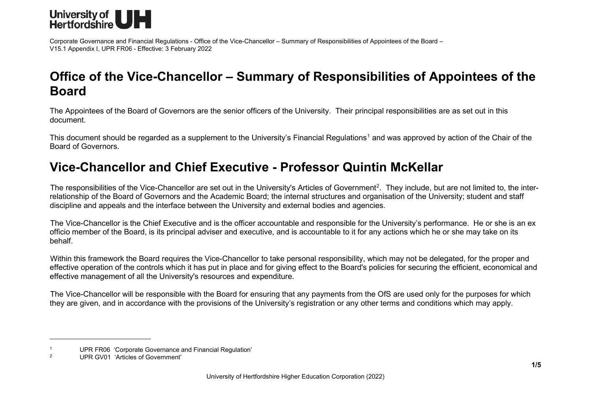<span id="page-0-1"></span><span id="page-0-0"></span>

# **Office of the Vice-Chancellor – Summary of Responsibilities of Appointees of the Board**

The Appointees of the Board of Governors are the senior officers of the University. Their principal responsibilities are as set out in this document.

This document should be regarded as a supplement to the University's Financial Regulations<sup>[1](#page-0-0)</sup> and was approved by action of the Chair of the Board of Governors.

## **Vice-Chancellor and Chief Executive - Professor Quintin McKellar**

The responsibilities of the Vice-Chancellor are set out in the University's Articles of Government $^2$  $^2$ . They include, but are not limited to, the interrelationship of the Board of Governors and the Academic Board; the internal structures and organisation of the University; student and staff discipline and appeals and the interface between the University and external bodies and agencies.

The Vice-Chancellor is the Chief Executive and is the officer accountable and responsible for the University's performance. He or she is an ex officio member of the Board, is its principal adviser and executive, and is accountable to it for any actions which he or she may take on its behalf.

Within this framework the Board requires the Vice-Chancellor to take personal responsibility, which may not be delegated, for the proper and effective operation of the controls which it has put in place and for giving effect to the Board's policies for securing the efficient, economical and effective management of all the University's resources and expenditure.

The Vice-Chancellor will be responsible with the Board for ensuring that any payments from the OfS are used only for the purposes for which they are given, and in accordance with the provisions of the University's registration or any other terms and conditions which may apply.

<sup>&</sup>lt;sup>1</sup> UPR FR06 'Corporate Governance and Financial Regulation'<br><sup>2</sup> UPR GV01 'Articles of Government'

UPR GV01 'Articles of Government'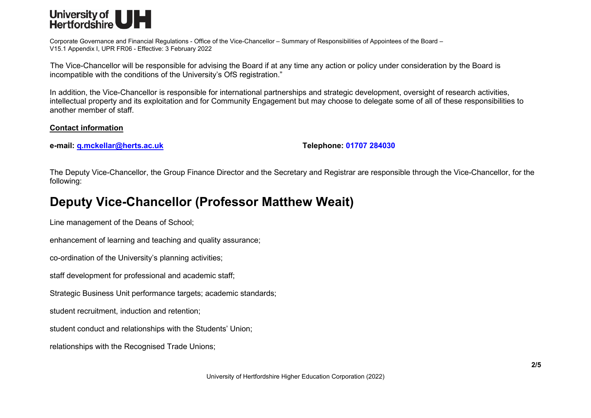

The Vice-Chancellor will be responsible for advising the Board if at any time any action or policy under consideration by the Board is incompatible with the conditions of the University's OfS registration."

In addition, the Vice-Chancellor is responsible for international partnerships and strategic development, oversight of research activities, intellectual property and its exploitation and for Community Engagement but may choose to delegate some of all of these responsibilities to another member of staff.

#### **Contact information**

**e-mail: [q.mckellar@herts.ac.uk](mailto:q.mckellar@herts.ac.uk) Telephone: 01707 284030**

The Deputy Vice-Chancellor, the Group Finance Director and the Secretary and Registrar are responsible through the Vice-Chancellor, for the following:

### **Deputy Vice-Chancellor (Professor Matthew Weait)**

Line management of the Deans of School;

enhancement of learning and teaching and quality assurance;

co-ordination of the University's planning activities;

staff development for professional and academic staff;

Strategic Business Unit performance targets; academic standards;

student recruitment, induction and retention;

student conduct and relationships with the Students' Union;

relationships with the Recognised Trade Unions;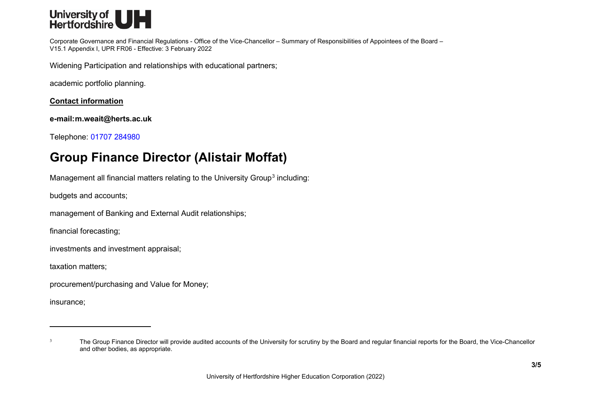<span id="page-2-0"></span>

Widening Participation and relationships with educational partners;

academic portfolio planning.

**Contact information**

**e-mail:m.weai[t@herts.ac.uk](mailto:p.e.waters@herts.ac.uk)**

Telephone: 01707 284980

# **Group Finance Director (Alistair Moffat)**

Management all financial matters relating to the University Group<sup>[3](#page-2-0)</sup> including:

budgets and accounts;

management of Banking and External Audit relationships;

financial forecasting;

investments and investment appraisal;

taxation matters;

procurement/purchasing and Value for Money;

insurance;

<sup>&</sup>lt;sup>3</sup> The Group Finance Director will provide audited accounts of the University for scrutiny by the Board and regular financial reports for the Board, the Vice-Chancellor and other bodies, as appropriate.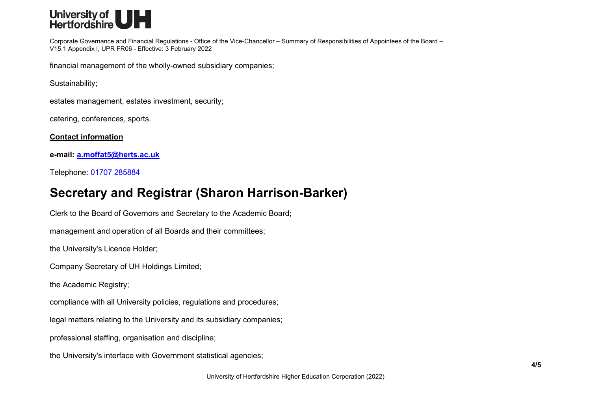

financial management of the wholly-owned subsidiary companies;

Sustainability;

estates management, estates investment, security;

catering, conferences, sports.

**Contact information**

**e-mail: [a.moffat5@herts.ac.uk](mailto:a.moffat5@herts.ac.uk)**

Telephone: 01707 285884

# **Secretary and Registrar (Sharon Harrison-Barker)**

Clerk to the Board of Governors and Secretary to the Academic Board; management and operation of all Boards and their committees; the University's Licence Holder; Company Secretary of UH Holdings Limited; the Academic Registry; compliance with all University policies, regulations and procedures; legal matters relating to the University and its subsidiary companies; professional staffing, organisation and discipline; the University's interface with Government statistical agencies;